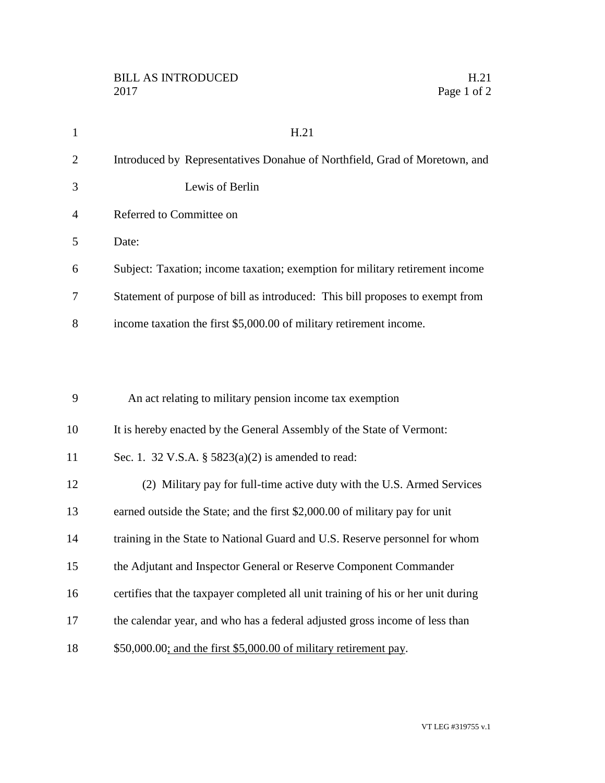| $\mathbf{1}$   | H.21                                                                              |
|----------------|-----------------------------------------------------------------------------------|
| $\overline{2}$ | Introduced by Representatives Donahue of Northfield, Grad of Moretown, and        |
| 3              | Lewis of Berlin                                                                   |
| 4              | Referred to Committee on                                                          |
| 5              | Date:                                                                             |
| 6              | Subject: Taxation; income taxation; exemption for military retirement income      |
| 7              | Statement of purpose of bill as introduced: This bill proposes to exempt from     |
| 8              | income taxation the first \$5,000.00 of military retirement income.               |
|                |                                                                                   |
| 9              | An act relating to military pension income tax exemption                          |
| 10             | It is hereby enacted by the General Assembly of the State of Vermont:             |
| 11             | Sec. 1. 32 V.S.A. § $5823(a)(2)$ is amended to read:                              |
| 12             | (2) Military pay for full-time active duty with the U.S. Armed Services           |
| 13             | earned outside the State; and the first \$2,000.00 of military pay for unit       |
| 14             | training in the State to National Guard and U.S. Reserve personnel for whom       |
| 15             | the Adjutant and Inspector General or Reserve Component Commander                 |
| 16             | certifies that the taxpayer completed all unit training of his or her unit during |
| 17             | the calendar year, and who has a federal adjusted gross income of less than       |
| 18             | \$50,000.00; and the first \$5,000.00 of military retirement pay.                 |